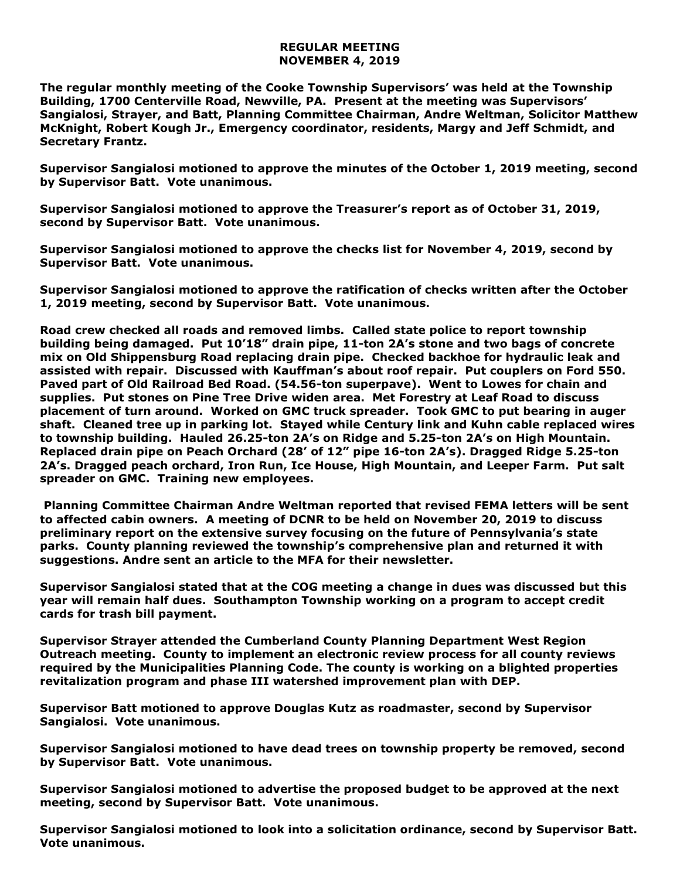## **REGULAR MEETING NOVEMBER 4, 2019**

**The regular monthly meeting of the Cooke Township Supervisors' was held at the Township Building, 1700 Centerville Road, Newville, PA. Present at the meeting was Supervisors' Sangialosi, Strayer, and Batt, Planning Committee Chairman, Andre Weltman, Solicitor Matthew McKnight, Robert Kough Jr., Emergency coordinator, residents, Margy and Jeff Schmidt, and Secretary Frantz.** 

**Supervisor Sangialosi motioned to approve the minutes of the October 1, 2019 meeting, second by Supervisor Batt. Vote unanimous.** 

**Supervisor Sangialosi motioned to approve the Treasurer's report as of October 31, 2019, second by Supervisor Batt. Vote unanimous.**

**Supervisor Sangialosi motioned to approve the checks list for November 4, 2019, second by Supervisor Batt. Vote unanimous.**

**Supervisor Sangialosi motioned to approve the ratification of checks written after the October 1, 2019 meeting, second by Supervisor Batt. Vote unanimous.**

**Road crew checked all roads and removed limbs. Called state police to report township building being damaged. Put 10'18" drain pipe, 11-ton 2A's stone and two bags of concrete mix on Old Shippensburg Road replacing drain pipe. Checked backhoe for hydraulic leak and assisted with repair. Discussed with Kauffman's about roof repair. Put couplers on Ford 550. Paved part of Old Railroad Bed Road. (54.56-ton superpave). Went to Lowes for chain and supplies. Put stones on Pine Tree Drive widen area. Met Forestry at Leaf Road to discuss placement of turn around. Worked on GMC truck spreader. Took GMC to put bearing in auger shaft. Cleaned tree up in parking lot. Stayed while Century link and Kuhn cable replaced wires to township building. Hauled 26.25-ton 2A's on Ridge and 5.25-ton 2A's on High Mountain. Replaced drain pipe on Peach Orchard (28' of 12" pipe 16-ton 2A's). Dragged Ridge 5.25-ton 2A's. Dragged peach orchard, Iron Run, Ice House, High Mountain, and Leeper Farm. Put salt spreader on GMC. Training new employees.**

**Planning Committee Chairman Andre Weltman reported that revised FEMA letters will be sent to affected cabin owners. A meeting of DCNR to be held on November 20, 2019 to discuss preliminary report on the extensive survey focusing on the future of Pennsylvania's state parks. County planning reviewed the township's comprehensive plan and returned it with suggestions. Andre sent an article to the MFA for their newsletter.** 

**Supervisor Sangialosi stated that at the COG meeting a change in dues was discussed but this year will remain half dues. Southampton Township working on a program to accept credit cards for trash bill payment.**

**Supervisor Strayer attended the Cumberland County Planning Department West Region Outreach meeting. County to implement an electronic review process for all county reviews required by the Municipalities Planning Code. The county is working on a blighted properties revitalization program and phase III watershed improvement plan with DEP.**

**Supervisor Batt motioned to approve Douglas Kutz as roadmaster, second by Supervisor Sangialosi. Vote unanimous.**

**Supervisor Sangialosi motioned to have dead trees on township property be removed, second by Supervisor Batt. Vote unanimous.** 

**Supervisor Sangialosi motioned to advertise the proposed budget to be approved at the next meeting, second by Supervisor Batt. Vote unanimous.**

**Supervisor Sangialosi motioned to look into a solicitation ordinance, second by Supervisor Batt. Vote unanimous.**